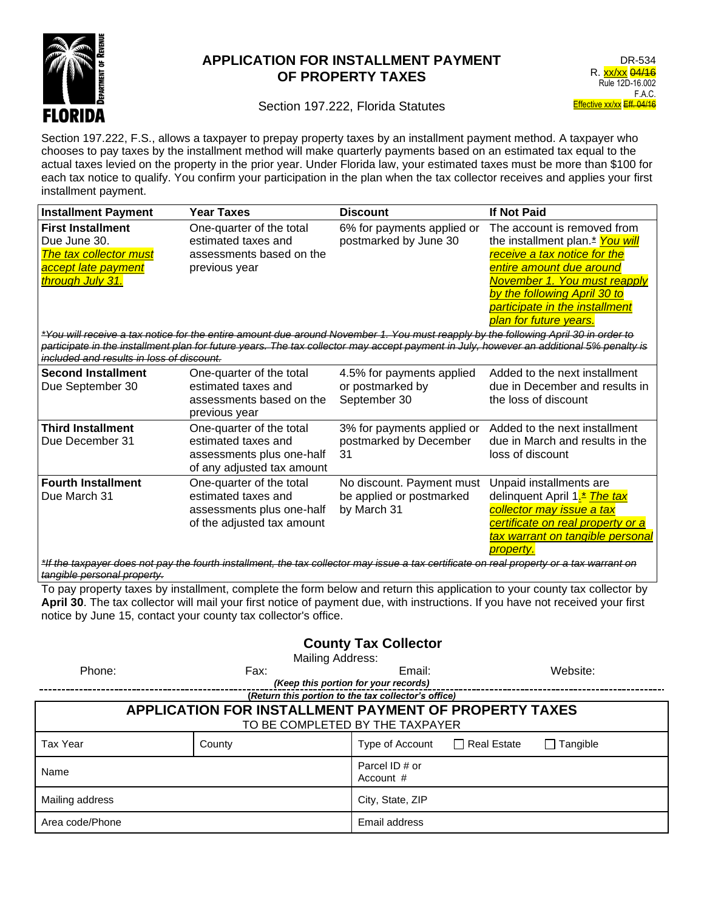

## **APPLICATION FOR INSTALLMENT PAYMENT OF PROPERTY TAXES**

## Section 197.222, Florida Statutes

Section 197.222, F.S., allows a taxpayer to prepay property taxes by an installment payment method. A taxpayer who chooses to pay taxes by the installment method will make quarterly payments based on an estimated tax equal to the actual taxes levied on the property in the prior year. Under Florida law, your estimated taxes must be more than \$100 for each tax notice to qualify. You confirm your participation in the plan when the tax collector receives and applies your first installment payment.

| <b>Installment Payment</b>                                                                                                                                                                                                                                                                                                                            | <b>Year Taxes</b>                                                                                          | <b>Discount</b>                                                      | <b>If Not Paid</b>                                                                                                                                                                                                                                                 |  |  |  |
|-------------------------------------------------------------------------------------------------------------------------------------------------------------------------------------------------------------------------------------------------------------------------------------------------------------------------------------------------------|------------------------------------------------------------------------------------------------------------|----------------------------------------------------------------------|--------------------------------------------------------------------------------------------------------------------------------------------------------------------------------------------------------------------------------------------------------------------|--|--|--|
| <b>First Installment</b><br>Due June 30.<br>The tax collector must<br>accept late payment<br>through July 31.                                                                                                                                                                                                                                         | One-quarter of the total<br>estimated taxes and<br>assessments based on the<br>previous year               | 6% for payments applied or<br>postmarked by June 30                  | The account is removed from<br>the installment plan. <sup>*</sup> You will<br>receive a tax notice for the<br>entire amount due around<br>November 1. You must reapply<br>by the following April 30 to<br>participate in the installment<br>plan for future years. |  |  |  |
| *You will receive a tax notice for the entire amount due around November 1. You must reapply by the following April 30 in order to<br>participate in the installment plan for future years. The tax collector may accept payment in July, however an additional 5% penalty is<br>included and results in loss of discount.                            |                                                                                                            |                                                                      |                                                                                                                                                                                                                                                                    |  |  |  |
| <b>Second Installment</b><br>Due September 30                                                                                                                                                                                                                                                                                                         | One-quarter of the total<br>estimated taxes and<br>assessments based on the<br>previous year               | 4.5% for payments applied<br>or postmarked by<br>September 30        | Added to the next installment<br>due in December and results in<br>the loss of discount                                                                                                                                                                            |  |  |  |
| <b>Third Installment</b><br>Due December 31                                                                                                                                                                                                                                                                                                           | One-quarter of the total<br>estimated taxes and<br>assessments plus one-half<br>of any adjusted tax amount | 3% for payments applied or<br>postmarked by December<br>31           | Added to the next installment<br>due in March and results in the<br>loss of discount                                                                                                                                                                               |  |  |  |
| <b>Fourth Installment</b><br>Due March 31                                                                                                                                                                                                                                                                                                             | One-quarter of the total<br>estimated taxes and<br>assessments plus one-half<br>of the adjusted tax amount | No discount. Payment must<br>be applied or postmarked<br>by March 31 | Unpaid installments are<br>delinquent April 1. <sup>*</sup> The tax<br>collector may issue a tax<br>certificate on real property or a<br><u>tax warrant on tangible personal</u><br>property.                                                                      |  |  |  |
| *If the taxpayer does not pay the fourth installment, the tax collector may issue a tax certificate on real property or a tax warrant on<br>tangible personal property.                                                                                                                                                                               |                                                                                                            |                                                                      |                                                                                                                                                                                                                                                                    |  |  |  |
| To pay property taxes by installment, complete the form below and return this application to your county tax collector by<br>April 30. The tax collector will mail your first notice of payment due, with instructions. If you have not received your first<br>notice by June 15, contact your county tax collector's office.<br>County Tay Collector |                                                                                                            |                                                                      |                                                                                                                                                                                                                                                                    |  |  |  |

**County Tax Collector** Mailing Address:

| <b>IVIAIIIIIY AUULCOO.</b>                                   |        |                               |               |                 |  |  |
|--------------------------------------------------------------|--------|-------------------------------|---------------|-----------------|--|--|
| Phone:                                                       | Fax:   | Email:                        |               | Website:        |  |  |
| (Keep this portion for your records)                         |        |                               |               |                 |  |  |
| (Return this portion to the tax collector's office)          |        |                               |               |                 |  |  |
| <b>APPLICATION FOR INSTALLMENT PAYMENT OF PROPERTY TAXES</b> |        |                               |               |                 |  |  |
| TO BE COMPLETED BY THE TAXPAYER                              |        |                               |               |                 |  |  |
| Tax Year                                                     | County | Type of Account               | □ Real Estate | $\Box$ Tangible |  |  |
| Name                                                         |        | Parcel ID # or<br>Account $#$ |               |                 |  |  |
| Mailing address                                              |        | City, State, ZIP              |               |                 |  |  |
| Area code/Phone                                              |        | Email address                 |               |                 |  |  |